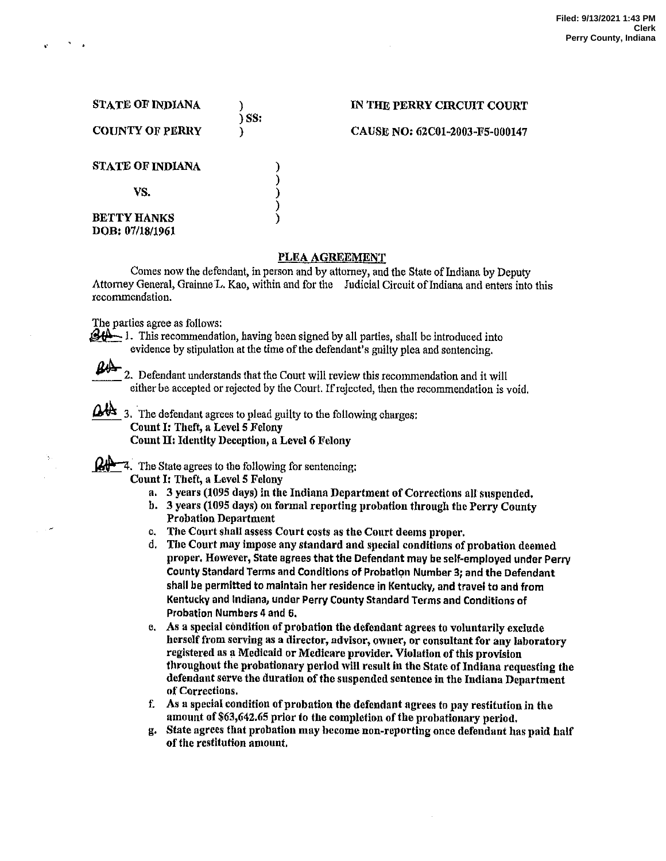| <b>STATE OF INDIANA</b>               | ) SS: | IN THE PERRY CIRCUIT COURT     |
|---------------------------------------|-------|--------------------------------|
| <b>COUNTY OF PERRY</b>                |       | CAUSE NO: 62C01-2003-F5-000147 |
| STATE OF INDIANA                      |       |                                |
| VS.                                   |       |                                |
| <b>BETTY HANKS</b><br>DOB: 07/18/1961 |       |                                |

## PLEA AGREEMENT

Comes now the defendant, in person and by attorney, and the State of Indiana by Deputy Attorney General, Grainne'L. Kao, within and for the Judicial Circuit ofIndiana and enters into this recommendation.

The parties agree as follows:

B'A-

 $\mathcal{L}$  i. This recommendation, having been signed by all parties, shall be introduced into evidence by stipulation at the time of the defendant's guilty plea and sentencing.

2. Defendant understands that the Court will review this recommendation and it will either be accepted or rejected by the Court. If rejected, then the recommendation is void.

 $\Delta$ <sup>1</sup>3. The defendant agrees to plead guilty to the following charges: Count I: Theft, a Level 5 Felony Count II: Identity Deception, a Level 6 Felony

 $\mathbb{Q}$   $\rightarrow$  7. The State agrees to the following for sentencing:<br>Count I: Theft, a Level 5 Felony

- 
- a. 3 years (1095 days) in the Indiana Department of Corrections all suspended.
- b. 3 years (1095 days) on formal reporting probation through the Perry County Probation Department
- c. The Court shall assess Court costs as the Court deems proper.
- d. The Court may impose any standard and special conditions of probation deemed proper. However, State agrees that the Defendant may be self-emploved under Perry County Standard Terms and Conditions of Probation Number 3; and the Defendant shail be permitted to maintain her residence in Kentucky, and travei to and from Kentucky and Indiana, under Perry County Standard Terms and Conditions of Probation Numbers 4 and 6.
- e. As a special condition of probation the defendant agrees to voluntarily exclude herself from serving as a director, advisor, owner, or consultant for any laboratory registered as a Medicaid or Medicare provider. Violation of this provision throughout the probationary period will result in the State of Indiana requesting the defendant serve the duration of the suspended sentence in the Indiana Department of Corrections.
- f. As special condition of probation the defendant agrees to pay restitution in the amount of \$63,642.65 prior to the completion of the probationary period.
- g. State agrees that probation may become non-reporting once defendant has paid half of the restitution amount.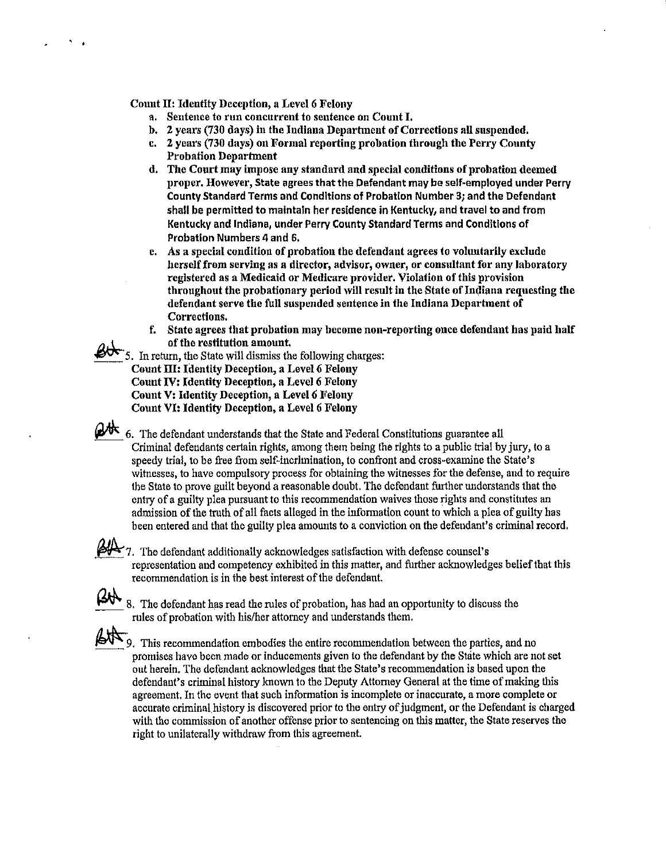## Count II: Identity Deception, a Level 6 Felony

- a. Sentence t0 run concurrent to sentence 0n Count I.
- b. 2 years (730 days) in the Indiana Department of Corrections all suspended.
- c. 2 years (730 days) on Formal reporting probation through the Perry County Probation Department
- d. The Court may impose any standard and speciai conditions of probation deemed proper. However, State agrees that the Defendant may be self-employed under Perry County Standard Terms and Conditions of Probation Number 3; and the Defendant shall be permitted to maintain her residence in Kentucky, and travel to and from Kentucky and Indiana, under Perry County Standard Terms and Conditions of Probation Numbers 4 and 6.
- e. As a special condition of probation the defendant agrees to voluntarily exclude herself from serving as director, adviser, owner, or consultant for any laboratory registered as Medicaid or Medicare provider. Violation of this provision throughout the probationary period will result in the State of Indiana requesting the defendant serve the full suspended sentence in the Indiana Department of Corrections.
- f. State agrees that probation may become non-reporting once defendant has paid half of the restitution amount.

5. In retum, the State will dismiss the following charges: Count III: Identity Deception, a Level 6 Felony Count IV: Identity Deception, a Level 6 Feiony Count V: Identity Deception, a Level 6 Felony Count VI: Identity Deception, a Level 6 Felony

 $\mathbb{C}$  6. The defendant understands that the State and Federal Constitutions guarantee all Criminal defendants certain rights, among them being the rights to a public trial by jury, to a speedy trial, to be free from self-incrimination, to confront and cross-examine the State's witnesses, to have compulsory process for obtaining the witnesses for the defense, and to require the State to prove guilt beyond a reasonable doubt. The defendant further understands that the entry of a guilty piea pursuant to this recommendation waives those rights and constitutes an admission of the truth of all facts alleged in the information count to which a plea of guilty has been entered and that the guilty plea amounts to a conviction on the defendant's criminal record.

7. The defendant additionally acknowledges satisfaction with defense counsel's representation and competency exhibited in this matter, and further acknowledges belief that this recommendation is in the best interest of the defendant.

8. The defendant has read the rules of probation, has had an opportunity to discuss the rules of probation with his/her attorney and understands them.

 $50<sup>o</sup>$  This recommendation embodies the entire recommendation between the parties, and no promises have been made 0r inducements given to the defendant by the State which are not set out herein. The defendant acknowledges that the State's recommendation is based upon the defendant's criminal history known to the Deputy Attorney General at the time of making this agreement. In the event that such information is incomplete or inaccurate, a more complete or accurate criminal history is discovered prior to the entry of judgment, or the Defendant is charged with the commission of another offense prior to sentencing on this matter, the State reserves the right to unilaterally withdraw from this agreement.